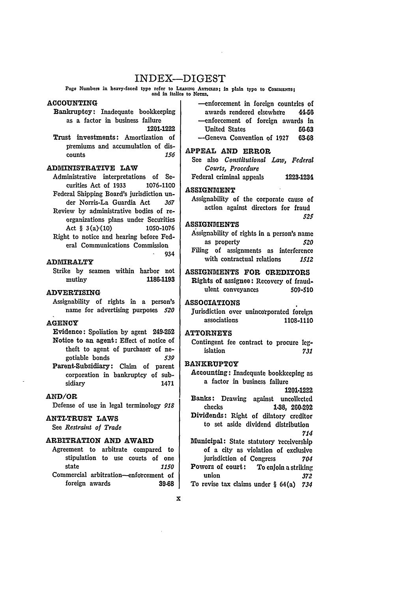# INDEX-DIGEST

Paga Numbers in heavy-faced type refer to LEADING ANTICLES; In plain typo to COMMENTS; and in italics to NorES.

## **ACCOUNTING**

Bankruptcy: Inadequate bookkeeping as a factor in business failure **1201-1222**

Trust investments: Amortization of

premiums and accumulation of discounts  $156$ counts *156*

## ADMINISTRATIVE LAW

- Administrative interpretations of Securities Act of **1933** 1076-1100 Federal Shipping Board's jurisdiction un-
- der Norris-La Guardia Act *367* Review by administrative bodies of reorganizations plans under Securities Act § 3(a) $(10)$  1050-1076
- Right to notice and hearing before Federal Communications Commission 934

## ADMIRALTY

Strike **by** seamen within harbor not mutiny 1186-1193

## ADVERTISING

Assignability of rights in a person's name for advertising purposes *520*

## **AGENCY**

- Evidence: Spoliation by agent 249-252 Notice to an agent: Effect of notice of theft to agent of purchaser of negotiable bonds *539*
- Parent-Subsidiary: Claim of parent corporation in bankruptcy of subsidiary 1471

#### **AND/OR**

Defense of use in legal terminology *918*

#### **ANTI-TRUST LAWS**

See *Restraint of Trade*

## **ARBITRATION AND AWARD**

Agreement to arbitrate compared to stipulation to use courts of one state *1150* Commercial arbitration--enforcement of foreign awards **39-68** -enforcement in foreign countries of awards rendered elsewheve 44-68 -enforcement of foreign awards in United States **56-63** -Geneva Convention of **1927 63-68**

## **APPEAL AND ERROR**

- See also *Constitutional Law, Federal Courts, Procedure*
- Federal criminal appeals **1223-1231**

## **ASSIGNMENT**

Assignability of the corporate cause of action against directors for fraud *525*

## **ASSIGNMENTS**

Assignability of rights in a person's name as property *520* Filing of assignments as interference with contractual relations *1512*

# **ASSIGNMENTS FOR CREDITORS** Rights of assignee: Recovery of fraud-

ulent conveyances **509-510**

#### **ASSOCIATIONS**

Jurisdiction over unincorporated foreign associations **1108-1110**

## **ATTORNEYS**

Contingent fee contract to procure legislation *731*

## **BANKRUPTCY**

- Accounting: Inadequate bookkeeping **as** a factor in business failure
- 1201-1222 Banks: Drawing against uncollected checks **1-38,** 260-292 Dividends: Right of dilatory creditor to set aside dividend distribution

*714*

- Municipal: State statutory 'eceivership of a city as violation of exclusive jurisdiction of Congress *704* Powers of court: To enjoin a striking union *372*
- To revise tax claims under § 64(a) *734*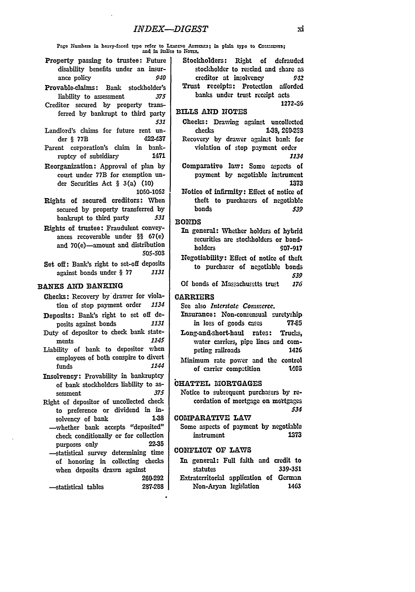Pago Numbers in heavy-faced type refer to LEADING Anmans; in plain type to Connuewrs; and **In** ltaUcs to Norrs.

- Property passing to trustee: Future disability benefits under an insurance policy *940*
- Provable-claims: Bank stockholder's liability to assessment *375*
- Creditor secured **by** property transferred by bankrupt to third party *531*
- Landlord's claims for future rent under § **77B** 422.37
- Parent corporation's claim in bankruptcy of subsidiary 1471
- Reorganization: Approval of plan by court under **77B** for exemption under Securities Act § 3(a) (10) **1050-1062**
- Rights of secured creditors: When secured **by** property transferred **by** bankrupt to third party *531*
- Rights of trustee: Fraudulent conveyances recoverable under §§ 67(e) and 70(e)-amount and distribution **505-503**

Set off: Bank's right to set-off deposits against bonds under § **77** *1131*

#### **BANKS AND BANKING**

- Checks: Recovery by drawer for violation of stop payment order *1134*
- **Deposits:** Bank's right to set off de-<br>nosits against bonds 1131 posits against bonds *1131*
- Duty of depositor to check bank state-<br>ments 1145 ments *1145*
- Liability of bank to depositor when employees of both conspire to divert funds 1144
- Insolvency: Provability in bankruptcy of bank stockholdcrs liability to assessment *375*
- Right of depositor of uncollected check to preference or dividend in insolvency of bank
- -whether bank accepts "deposited" check conditionally or for collection purposes only **22-35**
- -statistical survey determining time of honoring in collecting checks when deposits drawn against **260-292**

-- statistical tables **287-288**

Stockholders: Right of defrauded stockholder to rescind and share as creditor at insolvency **942** Trust receipts: Protection afforded banks under trust receipt acts **1272-36**

BILLS **AND NOTES**

Checks: Drawing against uncollected checks **1-38,** 260-223 Recovery by drawer against bank for violation of stop payment order

*1134*

- Comparative law: Some aspects of payment **by** negotiable instrument 1373
- Notice of infirmity: Effect of notice of theft to purchasers of negotiable bonds *539*

**BONDS** 

- In general: Whether holders of hybrid securities are stockholders or bondholders **907-917**
- Negotiability: Effect of notice of theft to purchaser of negotiable bonds *539*
- Of bonds of Massachusetts trust *176*

CARRIERS

- See also *Interstate Commerce.*
- Insurance: Non-consensual suretysbip in loss of goods cases 77.95
- Long-and-short-haul rates: Trucks, water carriers, pipe lines and competing railroads 1426
- Minimum rate power and the control of carrier compstition **1403**

## CHATTEL **IORTGAGES**

Notice to subsequent purchasers **by re**cordation of mortgage on mortgages *534*

COMPARATIVE **LAW**

Some aspects of payment by negotiable instrument **1373**

## CONFLICT **OF LAWS**

In general: Full faith and credit to statutes **339-351** Extraterritorial application of German Non-Aryan legislation 1463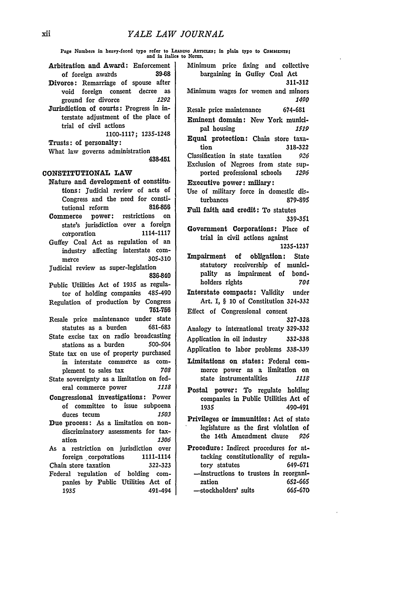$\bar{1}$ 

 $\hat{\boldsymbol{\epsilon}}$ 

| Page Numbers in heavy-faced type refer to LEADING ARTICLES; in plain type to COMMENTS; and in italies to NOTES.                                                                                                                                                                                                                                                                                                                                                                                                                                                                                                                                                                                                                                                                                                                                                                                                                                                                                                                                                                                                                                                                                                                                                                                                                                                                                                                                                                                                                                                                                                                                                                                                              |                                                                                                                                                                                                                                                                                                                                                                                                                                                                                                                                                                                                                                                                                                                                                                                                                                                                                                                                                                                                                                                                                                                                                                                                                                                                                                                                                                                                                                                                                                                                                                                                                              |
|------------------------------------------------------------------------------------------------------------------------------------------------------------------------------------------------------------------------------------------------------------------------------------------------------------------------------------------------------------------------------------------------------------------------------------------------------------------------------------------------------------------------------------------------------------------------------------------------------------------------------------------------------------------------------------------------------------------------------------------------------------------------------------------------------------------------------------------------------------------------------------------------------------------------------------------------------------------------------------------------------------------------------------------------------------------------------------------------------------------------------------------------------------------------------------------------------------------------------------------------------------------------------------------------------------------------------------------------------------------------------------------------------------------------------------------------------------------------------------------------------------------------------------------------------------------------------------------------------------------------------------------------------------------------------------------------------------------------------|------------------------------------------------------------------------------------------------------------------------------------------------------------------------------------------------------------------------------------------------------------------------------------------------------------------------------------------------------------------------------------------------------------------------------------------------------------------------------------------------------------------------------------------------------------------------------------------------------------------------------------------------------------------------------------------------------------------------------------------------------------------------------------------------------------------------------------------------------------------------------------------------------------------------------------------------------------------------------------------------------------------------------------------------------------------------------------------------------------------------------------------------------------------------------------------------------------------------------------------------------------------------------------------------------------------------------------------------------------------------------------------------------------------------------------------------------------------------------------------------------------------------------------------------------------------------------------------------------------------------------|
| Arbitration and Award: Enforcement<br>39-68<br>of foreign awards<br>Divorce: Remarriage of spouse after<br>void foreign consent decree<br>as<br>ground for divorce<br>1292<br>Jurisdiction of courts: Progress in in-<br>terstate adjustment of the place of<br>trial of civil actions<br>1100-1117; 1235-1248<br>Trusts: of personalty:<br>What law governs administration<br>438-451<br>CONSTITUTIONAL LAW<br>Nature and development of constitu-<br>tions: Judicial review of acts of<br>Congress and the need for consti-<br>816-856<br>tutional reform<br>power: restrictions<br>Commerce<br>on<br>state's jurisdiction over a foreign<br>1114-1117<br>corporation<br>Guffey Coal Act as regulation of an<br>industry affecting interstate com-<br>305-310<br>merce<br>Judicial review as super-legislation<br>836-840<br>Public Utilities Act of 1935 as regula-<br>tor of holding companies 485-490<br>Regulation of production by Congress<br>751-756<br>Resale price maintenance under state<br>681-683<br>statutes as a burden<br>State excise tax on radio broadcasting<br>500-504<br>stations as a burden<br>State tax on use of property purchased<br>in interstate commerce as com-<br>708<br>plement to sales tax<br>State sovereignty as a limitation on fed-<br>eral commerce power<br>1118<br>Congressional investigations: Power<br>of committee to issue subpoena<br>duces $tecum$ $1503$<br>Due process: As a limitation on non-<br>discriminatory assessments for tax-<br>ation<br>1306<br>As a restriction on jurisdiction over<br>foreign corporations<br>1111-1114<br>Chain store taxation<br>322-323<br>Federal regulation of holding com-<br>panies by Public Utilities Act of<br>1935<br>491-494 | Minimum price fixing and collective<br>bargaining in Guffey Coal Act<br>311-312<br>Minimum wages for women and minors<br><i><b>1490</b></i><br>Resale price maintenance<br>674-681<br>Eminent domain: New York munici-<br>pal housing<br>1519<br>Equal protection: Chain store taxa-<br>tion<br>318-322<br>Classification in state taxation<br>926<br>Exclusion of Negroes from state sup-<br>ported professional schools<br>- 1296<br>Executive power: miliary:<br>Use of military force in domestic dis-<br>turbances<br>879-895<br>Full faith and credit: To statutes<br>339-351<br>Government Corporations: Place of<br>trial in civil actions against<br>1235-1237<br>Impairment of obligation:<br>– State<br>statutory receivership of munici-<br>pality as impairment of bond-<br>holders rights<br>704<br>Interstate compacts: Validity under<br>Art. I, § 10 of Constitution 324-332<br>Effect of Congressional consent<br>327-328<br>Analogy to international treaty 329-332<br>Application in oil industry<br>332-338<br>Application to labor problems 338-339<br>Limitations on states: Federal com-<br>merce power as a limitation on<br>state instrumentalities<br>1118<br>Postal power: To regulate holding<br>companies in Public Utilities Act of<br>490-491<br>1935<br>Privileges or immunities: Act of state<br>legislature as the first violation of<br>the 14th Amendment clause<br>926<br>Procedure: Indirect procedures for at-<br>tacking constitutionality of regula-<br>649-671<br>tory statutes<br>-instructions to trustees in reorgani-<br>652-665<br>zation<br>-stockholders' suits<br>665-670 |
|                                                                                                                                                                                                                                                                                                                                                                                                                                                                                                                                                                                                                                                                                                                                                                                                                                                                                                                                                                                                                                                                                                                                                                                                                                                                                                                                                                                                                                                                                                                                                                                                                                                                                                                              |                                                                                                                                                                                                                                                                                                                                                                                                                                                                                                                                                                                                                                                                                                                                                                                                                                                                                                                                                                                                                                                                                                                                                                                                                                                                                                                                                                                                                                                                                                                                                                                                                              |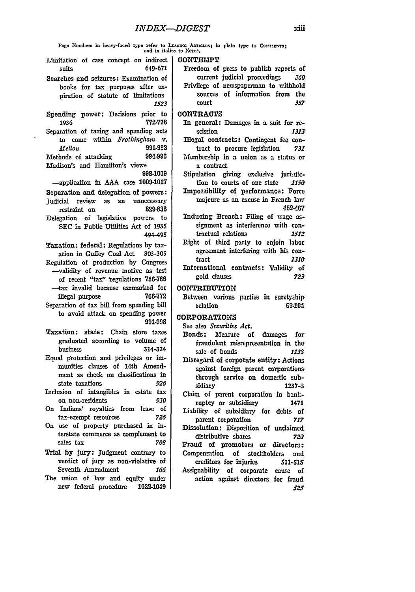**Page Nunbers in heavy-faced** type mfer to LrAmWc Annaxs; **In** plan type **to** COnuzzrs; **and** in **italics** to Non-.

- Limitation of case concept on indirect suits **649-671**
- Searches and seizures: Examination of books for tax purposes after expiration of statute of limitations *1523*
- Spending power: Decisions prior to **1936 772-778**
- Separation of taxing and spending acts to come within *Frothinglhan v. Mellon* 991-993<br> **bods** of attacking 994-996 Methods of attacking
- Madison's and Hamilton's views **998-1009**
- -application in **AAA** case **10091017** Separation and delegation of powers: Judicial review as an unnecessary restraint on **829-836** Delegation of legislative powers to **SEC** in Public Utilities Act of **1935** 494-495

Taxation: federal: Regulations by taxation in Guffey Coal Act **303-305** Regulation of production **by** Congress -validity of revenue motive as test of recent "tax" regulations **756-766** -tax invalid because earmarked for illegal purpose **766-772** Separation of tax **bill** from spending bill

- to avoid attack on spending power **991-998**
- Taxation: state: Chain store taxes graduated according to volume of business 314-324
- Equal protection and privileges or immunities clauses of 14th Amendment as check on classifications in state taxations *926*
- Inclusion of intangibles in estate tax on non-residents *930*
- On Indians' royalties from lease of tax-exempt resources **726**
- On use of property purchased in interstate commerce as complement to sales tax *708*
- Trial **by** jury: Judgment contrary to verdict of jury as non-violative of Seventh Amendment 166
- The union of law and equity under new federal procedure **1022-1049**

## **CONTEMPT**

- Freedom of press to publish reports of current judicial proceedings *360* Privilege of newspaperman to withhold sources of information from the
- court *357*

## CONTRACTS

- In general: Damages in a suit for re**scission** *1313*
- Illegal contracts: Contingent **fee** contract to procure legislation *731* Membership in a union as a status or
- a contract
- Stipulation giving exdusive jurizdiction to courts of one state *1150* Impossibility of performance: Force majeure as an excuse in French law **452A67**
- Inducing Breach: Filing of wage assignment as interference with contractual relations *1512*
- Right of third party to enjoin labor agreement interfeing with his contract *1310*
- International contracts: Validity of gold clauses *723*

## **CONTRIBUTION**

Between various parties in suretyship relation **69-104** 

## **CORPORATIONS**

- See also *Securiies Act.*
- Bonds: Measure of damages for fraudulent misrepresentation in the sale of bonds *1139*
- Disregard of corporate entity: Actions against foreign parent corporations through service on domestic subsidiary **1237-S**
- Claim of parent corporation in bankruptcy or subsidiary 1471 Liability of subsidiary for debts of
- parent corporation *717* Dissolution: Disposition of unclaimed distributive shares *720* Fraud of promoters or directors:
- Compensation of stockholders and creditors for injuries **511-515** Assignability of corporate cause of action against directors for fraud *525*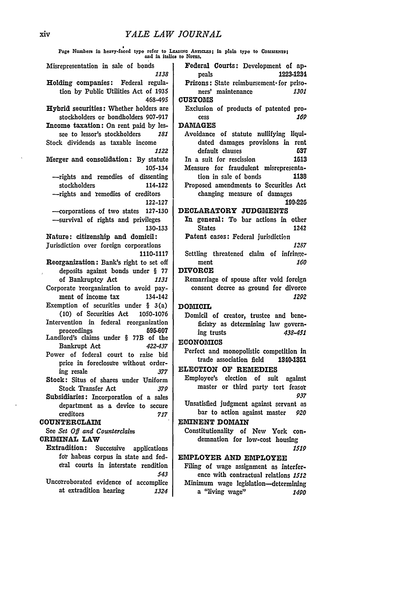| Page Numbers in heavy-faced type refer to LEADING ARTICLES; in plain type to COMMENTS; and in italics to NOTES. |                                                              |  |
|-----------------------------------------------------------------------------------------------------------------|--------------------------------------------------------------|--|
| Misrepresentation in sale of bonds<br>1138                                                                      | Federal Courts: Development of ap-<br>1223-1234<br>peals     |  |
| Holding companies: Federal regula-                                                                              | Prisons: State reimbursement for priso-                      |  |
| tion by Public Utilities Act of 1935                                                                            | ners' maintenance<br><i><b>1301</b></i>                      |  |
| 468-495                                                                                                         | <b>CUSTOMS</b>                                               |  |
| <b>Hybrid securities:</b> Whether holders are                                                                   | Exclusion of products of patented pro-                       |  |
| stockholders or bondholders 907-917                                                                             | 169<br>cess                                                  |  |
| Income taxation: On rent paid by les-                                                                           | <b>DAMAGES</b>                                               |  |
| see to lessor's stockholders<br>181                                                                             | Avoidance of statute nullifying liqui-                       |  |
| Stock dividends as taxable income<br>1122                                                                       | dated damages provisions in rent<br>default clauses<br>537   |  |
| Morger and consolidation: By statute                                                                            | In a suit for rescission<br>1513                             |  |
| 105-134                                                                                                         | Measure for fraudulent misrepresenta-                        |  |
| -- rights and remedies of dissenting                                                                            | tion in sale of bonds<br>1138                                |  |
| stockholders<br>114-122                                                                                         | Proposed amendments to Securities Act                        |  |
| --- rights and remedies of creditors                                                                            | changing measure of damages                                  |  |
| 122-127                                                                                                         | 199-225                                                      |  |
| 127-130<br>- corporations of two states                                                                         | DECLARATORY JUDGMENTS                                        |  |
| -survival of rights and privileges                                                                              | In general: To bar actions in other<br><b>States</b><br>1242 |  |
| 130-133<br>Nature: citizenship and domicil:                                                                     | Patent cases: Federal jurisdiction                           |  |
| Jurisdiction over foreign corporations                                                                          | 1287                                                         |  |
| 1110-1117                                                                                                       | Settling threatened claim of infringe-                       |  |
| Reorganization: Bank's right to set off                                                                         | 160<br>ment                                                  |  |
| deposits against bonds under § 77                                                                               | <b>DIVORCE</b>                                               |  |
| of Bankruptcy Act<br>1131                                                                                       | Remarriage of spouse after void foreign                      |  |
| Corporate reorganization to avoid pay-                                                                          | consent decree as ground for divorce<br>1292                 |  |
| ment of income tax<br>134-142<br>Exemption of securities under $\S$ 3(a)                                        | <b>DOMICIL</b>                                               |  |
| (10) of Securities Act<br>1050-1076                                                                             | Domicil of creator, trustee and bene-                        |  |
| Intervention in federal reorganization                                                                          | ficiary as determining law govern-                           |  |
| proceedings<br>595-607                                                                                          | ing trusts<br>438-451                                        |  |
| Landlord's claims under § 77B of the                                                                            | <b>ECONOMICS</b>                                             |  |
| 422-437<br>Bankrupt Act<br>Power of federal court to raise bid                                                  | Perfect and monopolistic competition in                      |  |
| price in foreclosure without order-                                                                             | trade association field<br>1340-1351                         |  |
| ing resale<br>377                                                                                               | <b>ELECTION OF REMEDIES</b>                                  |  |
| Stock: Situs of shares under Uniform                                                                            | Employee's election<br>of suit<br>against                    |  |
| <b>Stock Transfer Act</b><br>379                                                                                | master or third party tort feasor                            |  |
| Subsidiaries: Incorporation of a sales                                                                          | 937<br>Unsatisfied judgment against servant as               |  |
| department as a device to secure                                                                                | bar to action against master<br>920                          |  |
| creditors<br>717<br>COUNTERCLAIM                                                                                | EMINENT DOMAIN                                               |  |
| See Set Off and Counterclaim                                                                                    | Constitutionality of New York con-                           |  |
| CRIMINAL LAW                                                                                                    | demnation for low-cost housing                               |  |
| Extradition:<br>Successive<br>applications                                                                      | 1519                                                         |  |
| for habeas corpus in state and fed-                                                                             | EMPLOYER AND EMPLOYEE                                        |  |
| eral courts in interstate rendition                                                                             | Filing of wage assignment as interfer-                       |  |
| 543                                                                                                             | ence with contractual relations 1512                         |  |
| Uncorroborated evidence of accomplice<br>at extradition hearing<br>1324                                         | Minimum wage legislation-determining<br>a "living wage"      |  |
|                                                                                                                 | 1490                                                         |  |

 $\sim$   $\sim$ 

 $\sim 10^{11}$  km  $^{-1}$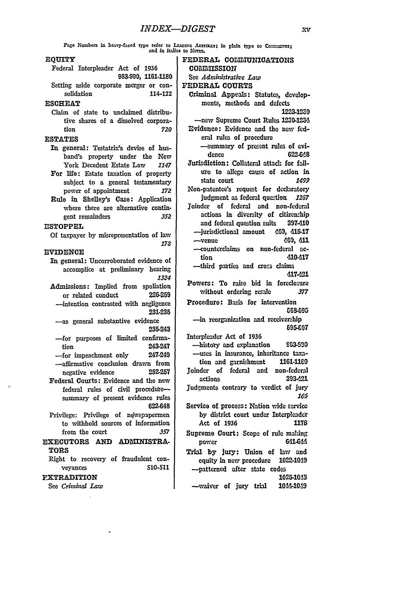Page Numbers in heavy-faced type refer to LEADING ARTICLES; in plain type to Contempora: and in italies to Norms.

#### **EQUITY**

Federal Interpleader Act of 1936 963-990, **1161-1180** Setting aside corporate merger or consolidation 114-122

#### **ESCHEAT**

Claim **of** state to unclaimed distributive shares of a dissolved corporation *720*

## **ESTATES**

- In general: Testatrix's devise of husband's property under the New York Decedent Estate Law *1147*
- For life: Estate taxation of property subject to a general testamentary power of appointment *172*
- Rule in Shelley's Case: Application where there are alternative contingent remainders *352*

## **ESTOPPEL**

**Of** taxpayer **by** misrepresentation of law *173*

#### **EVIDENCE**

In general: Uncorroborated evidence of accomplice at preliminary hearing *1324*

- Admissions: Implied from spoliation or related conduct **226-259** -intention contrasted with negligence **231-235**
- -as general substantive evidence 235-243
- -for purposes of limited confirmation 243-247
- -for impeachment only 247-249 -affirmative conclusion drawn from
- negative evidence **252-257**
- Federal Courts: Evidence and the new federal rules of civil proceduresummary of present evidence rules **622-648**
- Privilege: Privilege of newspapermen to withhold sources of information from the court *357*

## **EXECUTORS AND ADMINISTRA-**TORS

Right to recovery of fraudulent conveyances **610-511**

#### FXTRADITION

See *Criminl Law*

FEDERAL COMMUNICATIONS **COMMISSION** See *Administrative Law* FEDERAL **COURTS** Criminal Appeals: Statutes, developments, methods and defects 1223.12Z0 -new Supreme Court Rules **1230-123d** Evidence: Evidence and the new federal rules of procedure -summary of present rules of evidence 622-648 Jurisdiction: Collateral attack for failure to allege cause of action in state court *1499* Non-patentee's request for declaratory judgment as federal question *12S7* joinder of federal and non-federal actions in diversity of citizenship and federal question suits **397-410** -jurisdictional amount 409, **41&,17** -venue **09,** 411 -counterclaims on non-federal action **410-417** -third parties and cross claims **d17-21** Powers: To raise **bid** in foreclosure without ordering resae *377* Procedure: Basis for intervention **G6-595** -in reorganization and receivership **595-C07** Interpleader Act of **1936** -histoy and explanation **90**

-uses in insurance, inheritance taxation and garnishment **1161-1180** Joinder of federal and non-federal actions **393421** judgments contrary to verdict of jury

*163*

- Service of process: Nation wide service **by** district court under Interpleader Act of **1936** 1178
- Supreme Court: Scope of rule malting power 6U1-644
- Trial **by** jury: Union of law and equity in new procedure **1022-1019** -patterned after state codes 1025-1043

-waiver of jury trial 1044-1049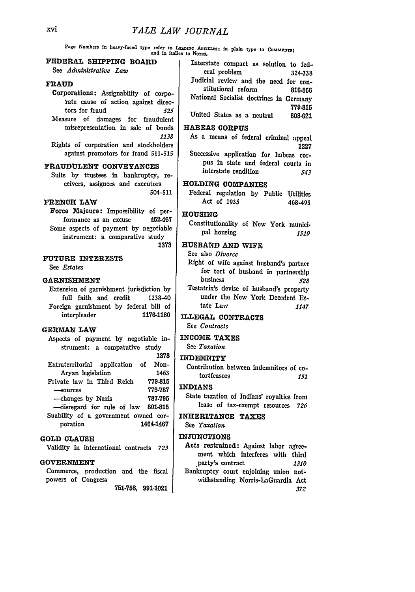Pago Numbers in heavy-faced type refer to LEADING ARTICLES; in plain type to COMMENTS; and in italies to Norgs.

# **FEDERAL SHIPPING BOARD**

See *Administrative Law*

#### **FRAUD**

Corporations: Assignability of corpotate cause of **action** against directors for fraud *525*

Measure of damages for fraudulent misrepresentation in sale of bonds *1138*

Rights of corporation and stockholders against promotors for fraud **511-515**

## **FRAUDULENT CONVEYANCES**

Suits **by** frustees in bankruptcy, receivers, assignees and executors 504-511

## **FRENCH LAW**

Force Majeure: Impossibility of performance as an excuse 452-467 Some aspects of payment **by** negotiable instrument: a comparative study **1373**

#### **FUTURE** INTERESTS

See *Fstates*

#### GARNISHMENT

Extension of garnishment jurisdiction **by** full faith and credit 1238-40 Foreign garnishment **by** federal bill of interpleader **1176-1180**

#### **GERMAN** LAW

Aspects of payment **by** negotiable instrument: a comparative study **1373**

Extraterritorial application of Non-Aryan legislation 1463 Private law in Third Reich **779-815** -- sources **779-787** -changes **by** Nazis **787-795** -disregard for rule of law **801-815** Suability of a government owned cor-

potation 1464-1467

## **GOLD CLAUSE**

Validity in international contracts *723*

## **GOVERNMENT**

Commerce, production and the fiscal powers of Congress

**751-758, 991-1021**

Interstate compact as solution to **fed**eral problem 324-338 Judicial review and the need for constitutional reform **816-856** National Socialist doctrines in Germany **779-815** United States as a neutral 608-621

## **HABEAS CORPUS**

As a means of federal criminal appeal **1227**

Successive application for habeas corpus in state and federal courts in interstate rendition *543*

## **HOLDING COMPANIES**

Federal regulation by Public Utilities Act of **1935** 468-495

# **HOUSING**

Constitutionality of New York munici. pal housing *1519*

# **HUSBAND AND** WIFE

See also *Divorce* Right of wife against husband's partner for tort of husband in partnership business *528*

Testatrix's devise of husband's property under the New York Decedent Estate Law *1147*

## **ILLEGAL CONTRACTS**

See *Contracts*

## **INCOME TAXES**

See *Taxation*

#### **INDEMNITY**

Contribution between indemnitors of co. tortfeasors *151*

## **INDIANS**

State taxation of Indians' royalties from lease of tax-exempt resources *726*

#### INHERITANCE **TAXES**

See *Taxation*

## **INJUNCTIONS**

Acts restrained: Against labor agreement which interferes with third 'party's contract *1310* Bankruptcy court enjoining union notwithstanding Norris-LaGuardla Act *372*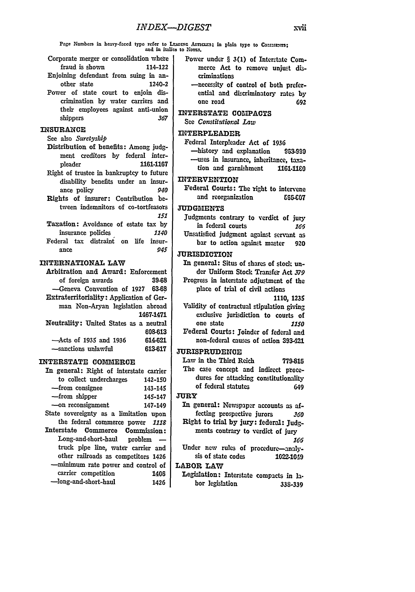Pago Numbers in heavy-faced typo refer to LEADING ARTICLES; in plain type to ConuENTS; and in Italics to Norms.

- Corporate merger or consolidation where fraud is shown 114-122
- Enjoining defendant from suing in another state 1240-2
- Power of state court to enjoin discrimination by water carriers and their employees against anti-union shippers *367*

### **INSURANCE**

#### See also *Suretyship*

- Distribution of benefits: Among judgment creditors by federal interpleader **1161-1167**
- Right of trustee in bankruptcy to future disability benefits under an insurance policy *940*
- Rights of insurer: Contribution between indemnitors of co-tortfeasors *151*
- Taxation: Avoidance of estate tax by insurance policies *1140* Federal tax distraint on life insur-<br>ance 945 ance *945*

## INTERNATIONAL LAW

Arbitration and Award: Enforcement of foreign awards **39-68** -Geneva Convention of **1927 63-68** Extraterritoriality: Application of German Non-Aryan legislation abroad 1467-1471 Neutrality: United States as a neutral **608-613**

| $-\text{Acts}$ of 1935 and 1936 | 614-621 |
|---------------------------------|---------|
| -sanctions unlawful             | 613-617 |

#### **INTERSTATE** COMMERCE

In general: Right of interstate carrier to collect undercharges 142-150 -from consignee 143-145 -from shipper 145-147 -on reconsignment 147-149 State sovereignty as a limitation upon the federal commerce power *1118* Interstate Commerce Commission: Long-and-short-haul problem  $$ truck pipe line, water carrier and other railroads as competitors 1426 -minimum rate power and control **of** carrier competition 1406 -long-and-short-haul 1426

- Power under § **3(1)** of Interstate Commerce Act to remove unjust discriminations
- -necessity of control of both preferential and discriminatory rates **by** one road **692**
- INTERSTATE **COIPACTS** See *Constifulioral Law*

## INTERPLEADER

Federal Interpleader Act of **1936** -history and explanation **9623-90** --uses in insurance, inheritance, taxation and garnishment **1161-190**

### INTERVENTION

Federal Courts: The right to intervene and reorganization **665-607** 

## **JUDGMENTS**

- Judgments contrary to verdict of jury in federal courts *166*
- Unsatisfied judgment against servant as bar to action against master **920**

## JURISDICTION

- In general: Situs of shares of stock under Uniform Stock Transfer Act *379* Progress in interstate adjustment of the place of trial of civil actions
	- **1110, 1235**
- Validity of contractual stipulation giving exclusive jurisdiction to courts of one state *1150* Federal Courts: Joinder of federal and
- non-federal causes of action **393421**

# **JURISPRUDENCE**

Law in the Third Reich **779-815** The case concept and indirect procedures for attacking constitutionality of federal statutes 649

## **JURY**

In general: Newspaper accounts as affecting prospective jurors *360* Right to trial **by** jury: federal: Judgments contrary to verdict of jury

*166*

Under new rules of procedure-analysis of state codes **1022-10-19**

## LABOR LAW

Legislation: Interstate compacts in **la**bor legislation **338-339**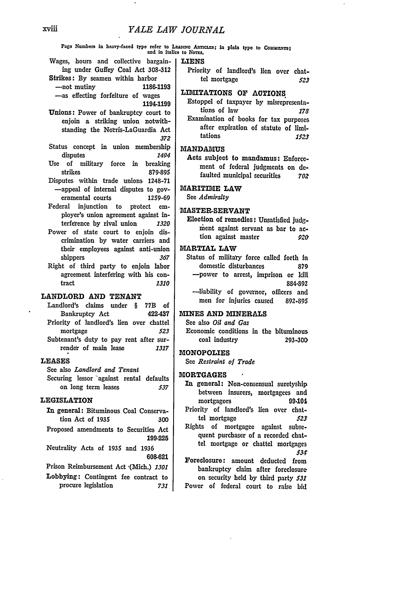Pago Numbers in heavy-faced type refer to LEADING ARTICLES; in plain typo to COMMENT91 and in italics to Norgs.

#### **LIENS**

- Wages, hours and collective bargaining under Guffey Coal Act **308-312** Strikes: **By** seamen within harbor
	- -not mutiny **1186-1193** -as effecting forfeiture of wages

1194-1199

- Unions: Power of bankruptcy court to enjoin a striking union notwithstanding the Norris-LaGuardia Act *372*
- Status concept in union membership disputes 1494
- Use of military force in breaking strikes **879-895**
- Disputes within trade unions **1248-71** -appeal of internal disputes to governmental courts 1259-69
- Federal injunction to protect employer's union agreement against **in**terfeence **by** rival union *1320*
- Power of state court to enjoin discrimination **by** water carriers and their employees against anti-union shippers *367*
- Right of third party to enjoin labor agreement interfering with his contract *1310*

## **LANDLORD AND TENANT**

Landlord's claims under § **77B** of Bankruptcy Act 422-437 Priority of landlord's lien over chattel mortgage *523* Subtenant's duty to pay rent after surrender of main lease *1317*

#### **LEASES**

See also *Landlord and Tenant* Securing lessor against rental defaults on long term leases *537*

## LEGISLATION

- **In** general: Bituminous Coal Conservation Act of **1935 300**
- Proposed amendments to Securities Act **199-225**
- Neutrality Acts of 1935 and **1936 608-621**

Prison Reimbursement Act (Mich.) 1301

Lobbying: Contingent fee contract to procure legislation *731* Priority of landlord's lien over chattel mortgage *523*

## LIMITATIONS **OF ACTIONS.**

Estoppel of taxpayer **by** misrepresentations of law *178* Examination of books for tax purposes after expiration of statute **of limi**tations *1523*

# **MANDAMUS**

Acts subject to mandamus: Enforcement of federal judgments on **de**faulted municipal securities *70Z*

## MARITIME LAW

See *Admiralty*

## 'MASTER-SERVANT

Election of remedies: Unsatisfied Judgment against servant as bar to action against master *920*

## MARTIAL LAW

Status of military force called forth In domestic disturbances **879** -power to arrest, imprison or **kill 884-892** -liability of governor, officers and men for injuries caused **892-895**

## **MINES AND** MINERALS

See also *Oil and Gas*

Economic conditions in the bituminous coal industry **293-300**

#### MONOPOLIES

See *Restraint of Trade*

## **MORTGAGES**

- In general: Non-consensual suretyship between insurers, mortgagees and mortgagors **99-101** Priority of landlord's lien over chat-
- tel mortgage *523* Rights of mortgagee against subsqequent purchaser of a recorded chattel mortgage or chattel mortgages *531*
- Foreclosure: amount deducted from bankruptcy claim after foreclosure on security **held by** third party *531* Power of federal court to raise **bid**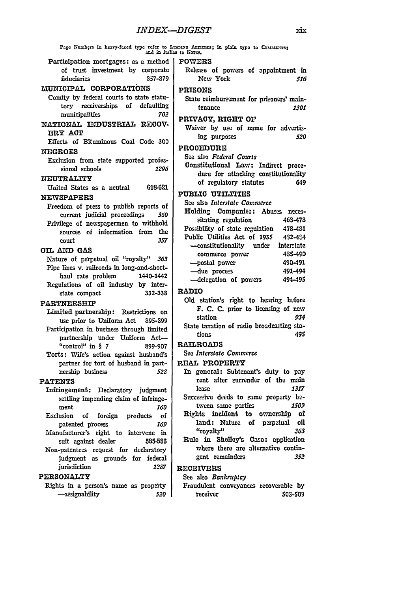|                                                                                | Page Numbers in heavy-faced type refer to LEADING ABTICLES; in plain type to COMMENTS; and in italies to Norms. |
|--------------------------------------------------------------------------------|-----------------------------------------------------------------------------------------------------------------|
| Participation mortgages: as a method                                           | <b>POWERS</b>                                                                                                   |
| of trust investment by corporate                                               | Release of powers of appointment in                                                                             |
| 857-879<br>fiduciaries                                                         | New York<br>516                                                                                                 |
| MUNICIPAL CORPORATIONS                                                         | <b>PRISONS</b>                                                                                                  |
| Comity by federal courts to state statu-                                       | State reimbursement for prisoners' main-                                                                        |
| tory receiverships of<br>defaulting                                            | tenance<br><i><b>1301</b></i>                                                                                   |
| municipalities<br>702                                                          | PRIVACY, RIGHT OF                                                                                               |
| NATIONAL INDUSTRIAL RECOV-                                                     | Waiver by use of name for advertis-                                                                             |
| ERY ACT                                                                        | ing purposes<br>520                                                                                             |
| Effects of Bituminous Coal Code 300                                            | PROCEDURE                                                                                                       |
| <b>NEGROES</b>                                                                 | See also Federal Courts                                                                                         |
| Exclusion from state supported profes-                                         | Constitutional Law: Indirect proce-                                                                             |
| sional schools<br>1296                                                         | dure for attacking constitutionality                                                                            |
| NEUTRALITY                                                                     | of regulatory statutes<br>649                                                                                   |
| 608-621<br>United States as a neutral                                          | <b>PUBLIC UTILITIES</b>                                                                                         |
| <b>NEWSPAPERS</b>                                                              | See also Interstate Commerce                                                                                    |
| Freedom of press to publish reports of                                         | Holding Companies: Abuses neces-                                                                                |
| current judicial proceedings<br>360<br>Privilege of newspapermen to withhold   | sitating regulation<br>468-478                                                                                  |
| sources of information from the                                                | Possibility of state regulation<br>478-481                                                                      |
| 357<br>court                                                                   | Public Utilities Act of 1935<br>452-454                                                                         |
| OIL AND GAS                                                                    | -constitutionality under<br>interstate                                                                          |
| Nature of perpetual oil "royalty" 363                                          | 485-490<br>commerce power                                                                                       |
| Pipe lines v. railroads in long-and-short-                                     | -postal power<br>490-491                                                                                        |
| haul rate problem<br>1440-1442                                                 | -due process<br>491-494                                                                                         |
| Regulations of oil industry by inter-                                          | -delegation of powers<br>494-495                                                                                |
| 332-338<br>state compact                                                       | <b>RADIO</b>                                                                                                    |
| <b>PARTNERSHIP</b>                                                             | Old station's right to hearing before                                                                           |
| Limited partnership: Restrictions on                                           | F. C. C. prior to licensing of new                                                                              |
| use prior to Uniform Act<br>895-899                                            | station<br>934<br>State taxation of radio broadcasting sta-                                                     |
| Participation in business through limited                                      | 495<br>tions                                                                                                    |
| partnership under Uniform Act-                                                 | <b>RAILROADS</b>                                                                                                |
| "control" in $§ 7$<br>899-907                                                  | See Interstate Commerce                                                                                         |
| Torts: Wife's action against husband's<br>partner for tort of husband in part- | REAL PROPERTY                                                                                                   |
| nership business<br>528                                                        | In general: Subtenant's duty to pay                                                                             |
| <b>PATENTS</b>                                                                 | rent after surrender of the main                                                                                |
| Infringement: Declaratory judgment                                             | lease<br>1317                                                                                                   |
| settling impending claim of infringe-                                          | Successive deeds to same property be-                                                                           |
| <i><b>160</b></i><br>ment                                                      | tween same parties<br><i><b>1509</b></i>                                                                        |
| Exclusion<br>of foreign<br>products<br>оf                                      | Rights incident to ownership<br>оľ                                                                              |
| patented process<br>169                                                        | land: Nature<br>oil<br>of perpetual                                                                             |
| Manufacturer's right to intervene in                                           | "royalty"<br>363                                                                                                |
| suit against dealer<br>585-586                                                 | Rule in Shelley's Case: application                                                                             |
| Non-patentees request for declaratory                                          | where there are alternative contin-<br>gent remainders<br>352                                                   |
| judgment as grounds for federal                                                |                                                                                                                 |
| jurisdiction<br>1287                                                           | <b>RECEIVERS</b>                                                                                                |
| <b>PERSONALTY</b>                                                              | See also Bankruptcy                                                                                             |
| Rights in a person's name as property                                          | Fraudulent conveyances recoverable by<br>receiver                                                               |
| -assignability<br>520                                                          | 503-509                                                                                                         |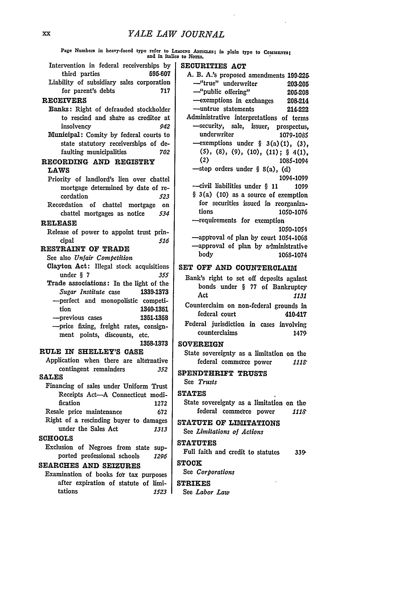*YALE LAW JOURNAL* Page Numbers in heavy-faced typo refer to LEADING Anricass; in plain typo to COMMENTI<br>and in italics to Norms, and in italics to Norzs. Intervention in federal receiverships **by** third parties **595-607** Liability of subsidiary sales corporation for parent's debts **717** RECEIVERS Banks: Right of defrauded stockholder to rescind and share as creditor at insolvency 942 Municipal: Comity by federal courts to state statutory receiverships of defaulting municipalities **702** RECORDING **AND REGISTRY LAWS** Priority of landlord's lien over chattel mortgage determined **by** date of recordation **523** Recordation of chattel mortgage on chattel mortgages as notice *534* **RELEASE** Release of power to appoint trust principal *516* **RESTRAINT OF TRADE** See also *Unfair Competition* Clayton Act: Illegal stock acquisitions under § 7 *355* Trade associations: In the light of the *Sugar Institute* case **1339-1373** -perfect and monopolistic competition 1340-1351 -previous cases **1351-1358** -price fixing, freight rates, consignment points, discounts, etc. **1358-1373 RULE IN SHELLEY'S CASE** Application when there are alternative contingent remainders *352* **SALES** Financing of sales under Uniform Trust Receipts Act-A Connecticut modification 1272 Resale price maintenance 672 Right of a rescinding buyer to damages under the Sales Act *1313* **SCHOOLS** Exclusion of Negroes from state supported professional schools *1296* **SECURITIES ACT A.** B. A.'s proposed amendments **199.226**  $-$ stop orders under § 8(a), (d) -requirements for exemption **SET OFF AND COUNTERCLAIM** Counterclaim on non-federal grounds In Federal jurisdiction in cases involving **SOVEREIGN** State sovereignty as a limitation on the **SPENDTHRIFT TRUSTS** See *Trusts* **STATES STATUTE OF LIMITATIONS** See *Limitations of Actions* **STATUTES** Full faith and credit to statutes **339,**

#### **SEARCHES AND SEIZURES**

Examination of books for tax purposes after expiration of statute of limitations *15Z3*

See *Corporations*

#### **STRIKES**

See *Labor Law*

- -"true" underwriter **203.205** -"public offering" 205.208 -exemptions in exchanges 208-214 -untrue statements 214.222 Administrative interpretations of terms -security, sale, issuer, prospectus, underwriter **1079-1085**  $-$ exemptions under § 3(a)(1), (3), **(C), (8), (9), (10), (11); § 4(1),** 1085-1094 1094-1099  $\leftarrow$ civil liabilities under § 11 1099 § 3(a) (10) as a source of exemption for securities issued in reorganizations 1050-1076 1050-1054 -approval of plan by court 1054-1068
- -approval of plan by administrative body 1068-1074

- Bank's right to set off deposits against bonds under § 77 of Bankruptcy Act *1131*
- federal court 410417
- counterclaims 1479

federal commerce power **Ills**

State sovereignty as a limitation on the federal commerce power 1118

**STOCK**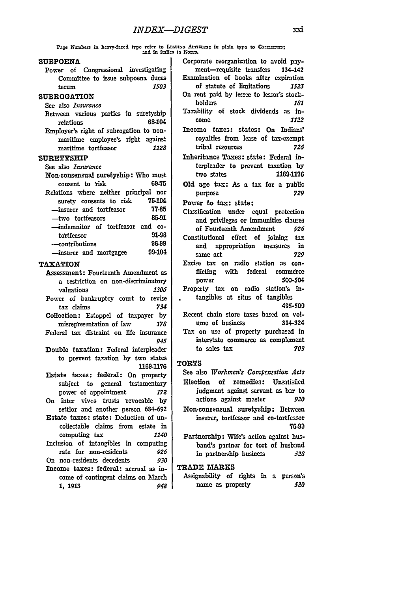Page Numbers in heavy-faced type refer to LEADING AFFICES; in plain type to Commercial and  $\overline{a}$  and in italies to Notes.

## **SUBPOENA**

Power of Congressional investigating Committee to issue subpoena duces<br>tecum 1503 tecum *1503*

#### **SUBROGATION**

- See also *Insurance*
- Between various parties in suretyship relations 68-104 Employer's right of subrogation to non-
- maritime employee's right against maritime tortfeasor *1128*

## SURETYSHIP

| See also Insurance                    |        |
|---------------------------------------|--------|
| Non-consensual suretyship: Who must   |        |
| consent to risk                       | 69-75  |
| Relations where neither principal nor |        |
| surety consents to risk               | 75-104 |
| -insurer and tortfeasor               | 77-85  |
| —two tortfeasors                      | 85-91  |
| -indemnitor of tortfeasor and co-     |        |
| tortfeasor                            | 91-96  |
| —contributions                        | 96-99  |
| -insurer and mortgagee                | 99-104 |
|                                       |        |

## **TAXATION**

- Assessment: Fourteenth Amendment as a restriction on non-discriminatory valuations *1306*
- Power of bankruptcy court to revise tax claims *734*
- Collection: Estoppel of taxpayer **by** misrepresentation of law *178* Federal tax distraint on life insurance
- *945*
- Double taxation: Federal interpleader to prevent taxation **by** two states **1169-1176**
- Estate taxes: federal: On property subject to general testamentary power of appointment *172*
- On inter vivos trusts revocable **by** settlor and another person 684-692
- Estate taxes: state: Deduction of uncollectable claims from estate in computing tax *1140*
- Inclusion of intangibles in computing rate for non-residents *926*

On non-residents decedents *930*

Income taxes: federal: accrual as income of contingent claims on March **1,** 1913 *948*

- Corporate reorganization to avoid payment-requisite transfers 134-142 Examination of books after expiration of statute of limitations *1523* On rent paid **by** lessee to lessor's stockholders *181* Taxability of stock dividends as in-
- come *1122*
- Income taxes: states: **On** Indians' royalties from lease of tax-exempt tribal resources *726*
- Inheritance Taxes: state: Federal interpleader to prevent taxation **by** two states **1169-1176**
- **Old** age tax: As a tax for a public purpose *729*

Power to **tax:** state:

- Classification under equal protection and privileges or immunities clauses of Fourteenth Amendment *926* Constitutional effect of joining tax and appropriation measures in
- sa me act *729* Excise tax on radio station as con-
- flicting with federal commerce power 50-504 Property tax on radio station's in-
- tangibles at situs of tangibles **49S-900**
- Recent chain store taxes based on volume of business 314-324 Tax on use of property purchased in interstate commerce as complement
- to sales tax *703*

## TORTS

- See also *Workmen's* Compensation *Acts* Election of remedies: Unsatisfied judgment against servant as bar to actions against master *920* Non-consensual suretyship: Between
- insurer, tortfeasor and co-tortfeasor **76-99**
- Partnership: Wife's action against husband's partner for tort of husband in partnership business *528*

## TRADE **MARXS**

Assignability of rights in a person's name as property *520*